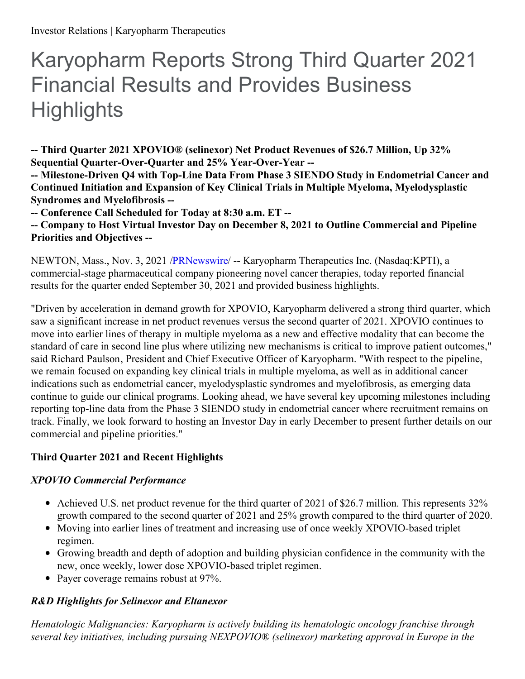# Karyopharm Reports Strong Third Quarter 2021 Financial Results and Provides Business **Highlights**

**-- Third Quarter 2021 XPOVIO® (selinexor) Net Product Revenues of \$26.7 Million, Up 32% Sequential Quarter-Over-Quarter and 25% Year-Over-Year --**

**-- Milestone-Driven Q4 with Top-Line Data From Phase 3 SIENDO Study in Endometrial Cancer and Continued Initiation and Expansion of Key Clinical Trials in Multiple Myeloma, Myelodysplastic Syndromes and Myelofibrosis --**

**-- Conference Call Scheduled for Today at 8:30 a.m. ET --**

**-- Company to Host Virtual Investor Day on December 8, 2021 to Outline Commercial and Pipeline Priorities and Objectives --**

NEWTON, Mass., Nov. 3, 2021 [/PRNewswire](http://www.prnewswire.com/)/ -- Karyopharm Therapeutics Inc. (Nasdaq:KPTI), a commercial-stage pharmaceutical company pioneering novel cancer therapies, today reported financial results for the quarter ended September 30, 2021 and provided business highlights.

"Driven by acceleration in demand growth for XPOVIO, Karyopharm delivered a strong third quarter, which saw a significant increase in net product revenues versus the second quarter of 2021. XPOVIO continues to move into earlier lines of therapy in multiple myeloma as a new and effective modality that can become the standard of care in second line plus where utilizing new mechanisms is critical to improve patient outcomes," said Richard Paulson, President and Chief Executive Officer of Karyopharm. "With respect to the pipeline, we remain focused on expanding key clinical trials in multiple myeloma, as well as in additional cancer indications such as endometrial cancer, myelodysplastic syndromes and myelofibrosis, as emerging data continue to guide our clinical programs. Looking ahead, we have several key upcoming milestones including reporting top-line data from the Phase 3 SIENDO study in endometrial cancer where recruitment remains on track. Finally, we look forward to hosting an Investor Day in early December to present further details on our commercial and pipeline priorities."

## **Third Quarter 2021 and Recent Highlights**

## *XPOVIO Commercial Performance*

- Achieved U.S. net product revenue for the third quarter of 2021 of \$26.7 million. This represents 32% growth compared to the second quarter of 2021 and 25% growth compared to the third quarter of 2020.
- Moving into earlier lines of treatment and increasing use of once weekly XPOVIO-based triplet regimen.
- Growing breadth and depth of adoption and building physician confidence in the community with the new, once weekly, lower dose XPOVIO-based triplet regimen.
- Payer coverage remains robust at 97%.

# *R&D Highlights for Selinexor and Eltanexor*

*Hematologic Malignancies: Karyopharm is actively building its hematologic oncology franchise through several key initiatives, including pursuing NEXPOVIO® (selinexor) marketing approval in Europe in the*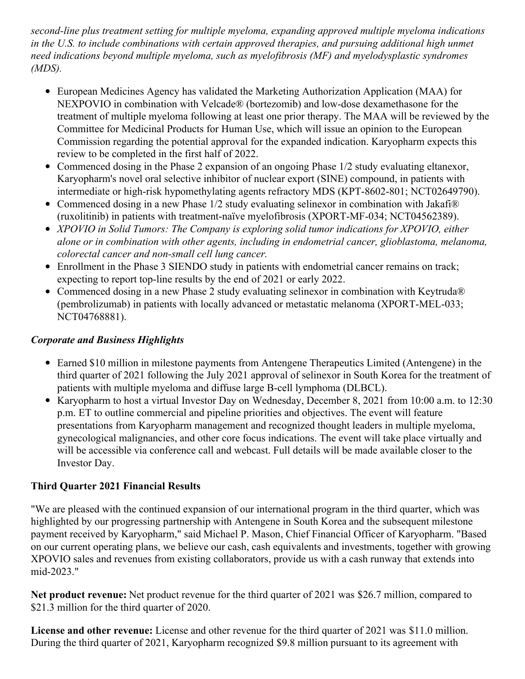*second-line plus treatment setting for multiple myeloma, expanding approved multiple myeloma indications in the U.S. to include combinations with certain approved therapies, and pursuing additional high unmet need indications beyond multiple myeloma, such as myelofibrosis (MF) and myelodysplastic syndromes (MDS).*

- European Medicines Agency has validated the Marketing Authorization Application (MAA) for NEXPOVIO in combination with Velcade® (bortezomib) and low-dose dexamethasone for the treatment of multiple myeloma following at least one prior therapy. The MAA will be reviewed by the Committee for Medicinal Products for Human Use, which will issue an opinion to the European Commission regarding the potential approval for the expanded indication. Karyopharm expects this review to be completed in the first half of 2022.
- Commenced dosing in the Phase 2 expansion of an ongoing Phase 1/2 study evaluating eltanexor, Karyopharm's novel oral selective inhibitor of nuclear export (SINE) compound, in patients with intermediate or high-risk hypomethylating agents refractory MDS (KPT-8602-801; NCT02649790).
- Commenced dosing in a new Phase 1/2 study evaluating selinexor in combination with Jakafi<sup>®</sup> (ruxolitinib) in patients with treatment-naïve myelofibrosis (XPORT-MF-034; NCT04562389).
- *XPOVIO in Solid Tumors: The Company is exploring solid tumor indications for XPOVIO, either alone or in combination with other agents, including in endometrial cancer, glioblastoma, melanoma, colorectal cancer and non-small cell lung cancer.*
- Enrollment in the Phase 3 SIENDO study in patients with endometrial cancer remains on track; expecting to report top-line results by the end of 2021 or early 2022.
- Commenced dosing in a new Phase 2 study evaluating selinexor in combination with Keytruda® (pembrolizumab) in patients with locally advanced or metastatic melanoma (XPORT-MEL-033; NCT04768881).

## *Corporate and Business Highlights*

- Earned \$10 million in milestone payments from Antengene Therapeutics Limited (Antengene) in the third quarter of 2021 following the July 2021 approval of selinexor in South Korea for the treatment of patients with multiple myeloma and diffuse large B-cell lymphoma (DLBCL).
- Karyopharm to host a virtual Investor Day on Wednesday, December 8, 2021 from 10:00 a.m. to 12:30 p.m. ET to outline commercial and pipeline priorities and objectives. The event will feature presentations from Karyopharm management and recognized thought leaders in multiple myeloma, gynecological malignancies, and other core focus indications. The event will take place virtually and will be accessible via conference call and webcast. Full details will be made available closer to the Investor Day.

## **Third Quarter 2021 Financial Results**

"We are pleased with the continued expansion of our international program in the third quarter, which was highlighted by our progressing partnership with Antengene in South Korea and the subsequent milestone payment received by Karyopharm," said Michael P. Mason, Chief Financial Officer of Karyopharm. "Based on our current operating plans, we believe our cash, cash equivalents and investments, together with growing XPOVIO sales and revenues from existing collaborators, provide us with a cash runway that extends into mid-2023."

**Net product revenue:** Net product revenue for the third quarter of 2021 was \$26.7 million, compared to \$21.3 million for the third quarter of 2020.

**License and other revenue:** License and other revenue for the third quarter of 2021 was \$11.0 million. During the third quarter of 2021, Karyopharm recognized \$9.8 million pursuant to its agreement with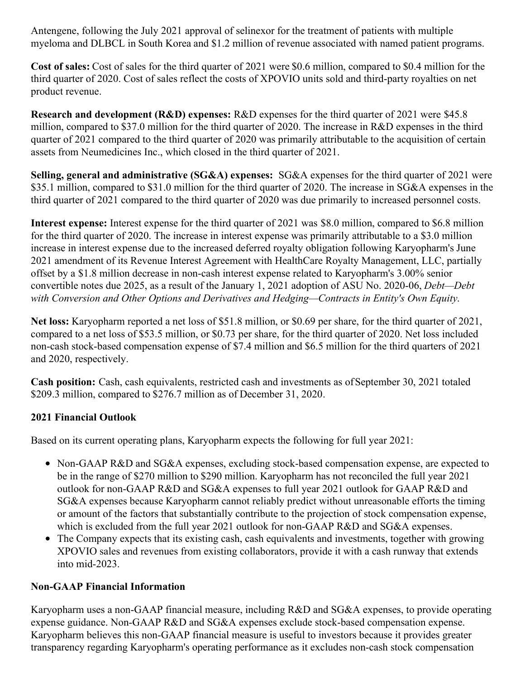Antengene, following the July 2021 approval of selinexor for the treatment of patients with multiple myeloma and DLBCL in South Korea and \$1.2 million of revenue associated with named patient programs.

**Cost of sales:** Cost of sales for the third quarter of 2021 were \$0.6 million, compared to \$0.4 million for the third quarter of 2020. Cost of sales reflect the costs of XPOVIO units sold and third-party royalties on net product revenue.

**Research and development (R&D) expenses:** R&D expenses for the third quarter of 2021 were \$45.8 million, compared to \$37.0 million for the third quarter of 2020. The increase in R&D expenses in the third quarter of 2021 compared to the third quarter of 2020 was primarily attributable to the acquisition of certain assets from Neumedicines Inc., which closed in the third quarter of 2021.

**Selling, general and administrative (SG&A) expenses:** SG&A expenses for the third quarter of 2021 were \$35.1 million, compared to \$31.0 million for the third quarter of 2020. The increase in SG&A expenses in the third quarter of 2021 compared to the third quarter of 2020 was due primarily to increased personnel costs.

**Interest expense:** Interest expense for the third quarter of 2021 was \$8.0 million, compared to \$6.8 million for the third quarter of 2020. The increase in interest expense was primarily attributable to a \$3.0 million increase in interest expense due to the increased deferred royalty obligation following Karyopharm's June 2021 amendment of its Revenue Interest Agreement with HealthCare Royalty Management, LLC, partially offset by a \$1.8 million decrease in non-cash interest expense related to Karyopharm's 3.00% senior convertible notes due 2025, as a result of the January 1, 2021 adoption of ASU No. 2020-06, *Debt—Debt with Conversion and Other Options and Derivatives and Hedging—Contracts in Entity's Own Equity*.

**Net loss:** Karyopharm reported a net loss of \$51.8 million, or \$0.69 per share, for the third quarter of 2021, compared to a net loss of \$53.5 million, or \$0.73 per share, for the third quarter of 2020. Net loss included non-cash stock-based compensation expense of \$7.4 million and \$6.5 million for the third quarters of 2021 and 2020, respectively.

**Cash position:** Cash, cash equivalents, restricted cash and investments as ofSeptember 30, 2021 totaled \$209.3 million, compared to \$276.7 million as of December 31, 2020.

## **2021 Financial Outlook**

Based on its current operating plans, Karyopharm expects the following for full year 2021:

- Non-GAAP R&D and SG&A expenses, excluding stock-based compensation expense, are expected to be in the range of \$270 million to \$290 million. Karyopharm has not reconciled the full year 2021 outlook for non-GAAP R&D and SG&A expenses to full year 2021 outlook for GAAP R&D and SG&A expenses because Karyopharm cannot reliably predict without unreasonable efforts the timing or amount of the factors that substantially contribute to the projection of stock compensation expense, which is excluded from the full year 2021 outlook for non-GAAP R&D and SG&A expenses.
- The Company expects that its existing cash, cash equivalents and investments, together with growing XPOVIO sales and revenues from existing collaborators, provide it with a cash runway that extends into mid-2023.

## **Non-GAAP Financial Information**

Karyopharm uses a non-GAAP financial measure, including R&D and SG&A expenses, to provide operating expense guidance. Non-GAAP R&D and SG&A expenses exclude stock-based compensation expense. Karyopharm believes this non-GAAP financial measure is useful to investors because it provides greater transparency regarding Karyopharm's operating performance as it excludes non-cash stock compensation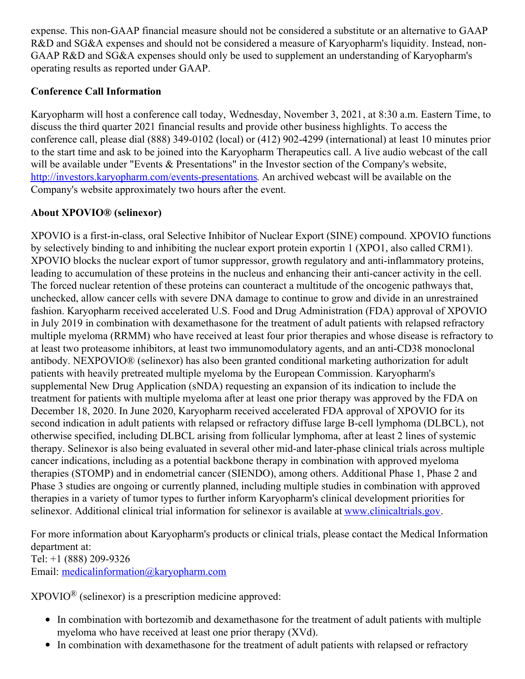expense. This non-GAAP financial measure should not be considered a substitute or an alternative to GAAP R&D and SG&A expenses and should not be considered a measure of Karyopharm's liquidity. Instead, non-GAAP R&D and SG&A expenses should only be used to supplement an understanding of Karyopharm's operating results as reported under GAAP.

## **Conference Call Information**

Karyopharm will host a conference call today, Wednesday, November 3, 2021, at 8:30 a.m. Eastern Time, to discuss the third quarter 2021 financial results and provide other business highlights. To access the conference call, please dial (888) 349-0102 (local) or (412) 902-4299 (international) at least 10 minutes prior to the start time and ask to be joined into the Karyopharm Therapeutics call. A live audio webcast of the call will be available under "Events & Presentations" in the Investor section of the Company's website, [http://investors.karyopharm.com/events-presentations](https://c212.net/c/link/?t=0&l=en&o=3345278-1&h=2522682912&u=http%3A%2F%2Finvestors.karyopharm.com%2Fevents-presentations&a=http%3A%2F%2Finvestors.karyopharm.com%2Fevents-presentations). An archived webcast will be available on the Company's website approximately two hours after the event.

### **About XPOVIO® (selinexor)**

XPOVIO is a first-in-class, oral Selective Inhibitor of Nuclear Export (SINE) compound. XPOVIO functions by selectively binding to and inhibiting the nuclear export protein exportin 1 (XPO1, also called CRM1). XPOVIO blocks the nuclear export of tumor suppressor, growth regulatory and anti-inflammatory proteins, leading to accumulation of these proteins in the nucleus and enhancing their anti-cancer activity in the cell. The forced nuclear retention of these proteins can counteract a multitude of the oncogenic pathways that, unchecked, allow cancer cells with severe DNA damage to continue to grow and divide in an unrestrained fashion. Karyopharm received accelerated U.S. Food and Drug Administration (FDA) approval of XPOVIO in July 2019 in combination with dexamethasone for the treatment of adult patients with relapsed refractory multiple myeloma (RRMM) who have received at least four prior therapies and whose disease is refractory to at least two proteasome inhibitors, at least two immunomodulatory agents, and an anti-CD38 monoclonal antibody. NEXPOVIO® (selinexor) has also been granted conditional marketing authorization for adult patients with heavily pretreated multiple myeloma by the European Commission. Karyopharm's supplemental New Drug Application (sNDA) requesting an expansion of its indication to include the treatment for patients with multiple myeloma after at least one prior therapy was approved by the FDA on December 18, 2020. In June 2020, Karyopharm received accelerated FDA approval of XPOVIO for its second indication in adult patients with relapsed or refractory diffuse large B-cell lymphoma (DLBCL), not otherwise specified, including DLBCL arising from follicular lymphoma, after at least 2 lines of systemic therapy. Selinexor is also being evaluated in several other mid-and later-phase clinical trials across multiple cancer indications, including as a potential backbone therapy in combination with approved myeloma therapies (STOMP) and in endometrial cancer (SIENDO), among others. Additional Phase 1, Phase 2 and Phase 3 studies are ongoing or currently planned, including multiple studies in combination with approved therapies in a variety of tumor types to further inform Karyopharm's clinical development priorities for selinexor. Additional clinical trial information for selinexor is available at [www.clinicaltrials.gov](http://www.clinicaltrials.gov).

For more information about Karyopharm's products or clinical trials, please contact the Medical Information department at:

Tel: +1 (888) 209-9326

Email: [medicalinformation@karyopharm.com](mailto:medicalinformation@karyopharm.com)

 $XPOVIO^{\circledR}$  (selinexor) is a prescription medicine approved:

- In combination with bortezomib and dexamethasone for the treatment of adult patients with multiple myeloma who have received at least one prior therapy (XVd).
- In combination with dexamethasone for the treatment of adult patients with relapsed or refractory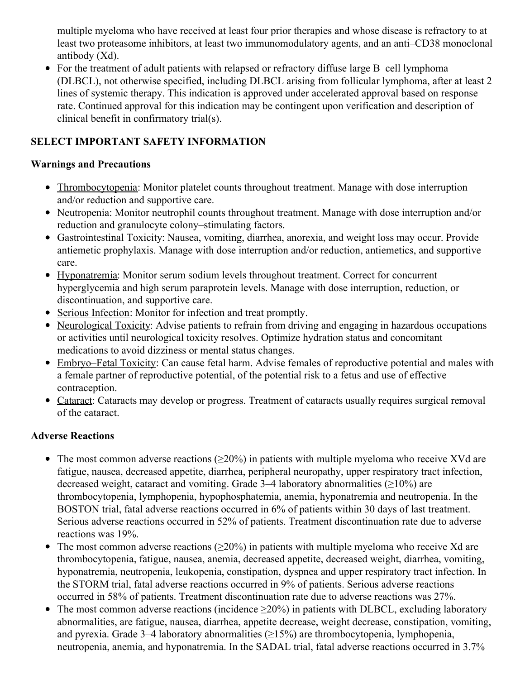multiple myeloma who have received at least four prior therapies and whose disease is refractory to at least two proteasome inhibitors, at least two immunomodulatory agents, and an anti–CD38 monoclonal antibody (Xd).

• For the treatment of adult patients with relapsed or refractory diffuse large B-cell lymphoma (DLBCL), not otherwise specified, including DLBCL arising from follicular lymphoma, after at least 2 lines of systemic therapy. This indication is approved under accelerated approval based on response rate. Continued approval for this indication may be contingent upon verification and description of clinical benefit in confirmatory trial(s).

## **SELECT IMPORTANT SAFETY INFORMATION**

### **Warnings and Precautions**

- Thrombocytopenia: Monitor platelet counts throughout treatment. Manage with dose interruption and/or reduction and supportive care.
- Neutropenia: Monitor neutrophil counts throughout treatment. Manage with dose interruption and/or reduction and granulocyte colony–stimulating factors.
- Gastrointestinal Toxicity: Nausea, vomiting, diarrhea, anorexia, and weight loss may occur. Provide antiemetic prophylaxis. Manage with dose interruption and/or reduction, antiemetics, and supportive care.
- Hyponatremia: Monitor serum sodium levels throughout treatment. Correct for concurrent hyperglycemia and high serum paraprotein levels. Manage with dose interruption, reduction, or discontinuation, and supportive care.
- Serious Infection: Monitor for infection and treat promptly.
- Neurological Toxicity: Advise patients to refrain from driving and engaging in hazardous occupations or activities until neurological toxicity resolves. Optimize hydration status and concomitant medications to avoid dizziness or mental status changes.
- Embryo–Fetal Toxicity: Can cause fetal harm. Advise females of reproductive potential and males with a female partner of reproductive potential, of the potential risk to a fetus and use of effective contraception.
- Cataract: Cataracts may develop or progress. Treatment of cataracts usually requires surgical removal of the cataract.

## **Adverse Reactions**

- The most common adverse reactions ( $\geq 20\%$ ) in patients with multiple myeloma who receive XVd are fatigue, nausea, decreased appetite, diarrhea, peripheral neuropathy, upper respiratory tract infection, decreased weight, cataract and vomiting. Grade  $3-4$  laboratory abnormalities ( $\geq$ 10%) are thrombocytopenia, lymphopenia, hypophosphatemia, anemia, hyponatremia and neutropenia. In the BOSTON trial, fatal adverse reactions occurred in 6% of patients within 30 days of last treatment. Serious adverse reactions occurred in 52% of patients. Treatment discontinuation rate due to adverse reactions was 19%.
- The most common adverse reactions ( $\geq 20\%$ ) in patients with multiple myeloma who receive Xd are thrombocytopenia, fatigue, nausea, anemia, decreased appetite, decreased weight, diarrhea, vomiting, hyponatremia, neutropenia, leukopenia, constipation, dyspnea and upper respiratory tract infection. In the STORM trial, fatal adverse reactions occurred in 9% of patients. Serious adverse reactions occurred in 58% of patients. Treatment discontinuation rate due to adverse reactions was 27%.
- The most common adverse reactions (incidence  $\geq$ 20%) in patients with DLBCL, excluding laboratory abnormalities, are fatigue, nausea, diarrhea, appetite decrease, weight decrease, constipation, vomiting, and pyrexia. Grade 3–4 laboratory abnormalities  $(≥15%)$  are thrombocytopenia, lymphopenia, neutropenia, anemia, and hyponatremia. In the SADAL trial, fatal adverse reactions occurred in 3.7%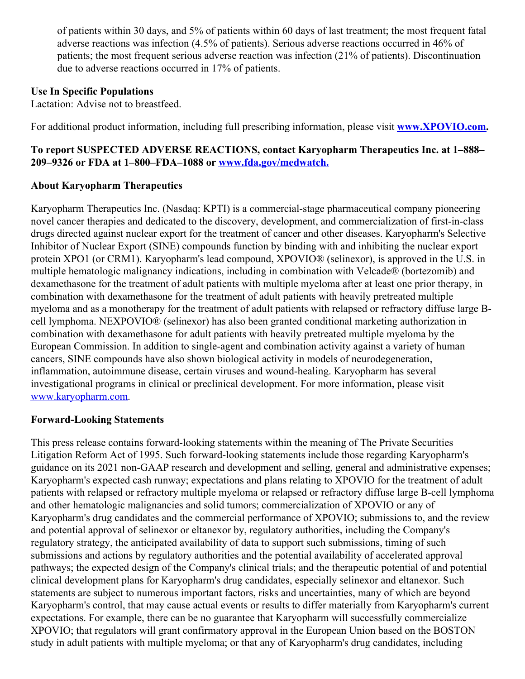of patients within 30 days, and 5% of patients within 60 days of last treatment; the most frequent fatal adverse reactions was infection (4.5% of patients). Serious adverse reactions occurred in 46% of patients; the most frequent serious adverse reaction was infection (21% of patients). Discontinuation due to adverse reactions occurred in 17% of patients.

#### **Use In Specific Populations**

Lactation: Advise not to breastfeed.

For additional product information, including full prescribing information, please visit **[www.XPOVIO.com](https://c212.net/c/link/?t=0&l=en&o=3345278-1&h=728376780&u=http%3A%2F%2Fwww.xpovio.com%2F&a=www.XPOVIO.com).**

### **To report SUSPECTED ADVERSE REACTIONS, contact Karyopharm Therapeutics Inc. at 1–888– 209–9326 or FDA at 1–800–FDA–1088 or [www.fda.gov/medwatch.](https://c212.net/c/link/?t=0&l=en&o=3345278-1&h=10302815&u=http%3A%2F%2Fwww.fda.gov%2Fmedwatch&a=www.fda.gov%2Fmedwatch.)**

### **About Karyopharm Therapeutics**

Karyopharm Therapeutics Inc. (Nasdaq: KPTI) is a commercial-stage pharmaceutical company pioneering novel cancer therapies and dedicated to the discovery, development, and commercialization of first-in-class drugs directed against nuclear export for the treatment of cancer and other diseases. Karyopharm's Selective Inhibitor of Nuclear Export (SINE) compounds function by binding with and inhibiting the nuclear export protein XPO1 (or CRM1). Karyopharm's lead compound, XPOVIO® (selinexor), is approved in the U.S. in multiple hematologic malignancy indications, including in combination with Velcade® (bortezomib) and dexamethasone for the treatment of adult patients with multiple myeloma after at least one prior therapy, in combination with dexamethasone for the treatment of adult patients with heavily pretreated multiple myeloma and as a monotherapy for the treatment of adult patients with relapsed or refractory diffuse large Bcell lymphoma. NEXPOVIO® (selinexor) has also been granted conditional marketing authorization in combination with dexamethasone for adult patients with heavily pretreated multiple myeloma by the European Commission. In addition to single-agent and combination activity against a variety of human cancers, SINE compounds have also shown biological activity in models of neurodegeneration, inflammation, autoimmune disease, certain viruses and wound-healing. Karyopharm has several investigational programs in clinical or preclinical development. For more information, please visit [www.karyopharm.com](https://c212.net/c/link/?t=0&l=en&o=3345278-1&h=2701172736&u=http%3A%2F%2Fwww.karyopharm.com%2F&a=www.karyopharm.com).

#### **Forward-Looking Statements**

This press release contains forward-looking statements within the meaning of The Private Securities Litigation Reform Act of 1995. Such forward-looking statements include those regarding Karyopharm's guidance on its 2021 non-GAAP research and development and selling, general and administrative expenses; Karyopharm's expected cash runway; expectations and plans relating to XPOVIO for the treatment of adult patients with relapsed or refractory multiple myeloma or relapsed or refractory diffuse large B-cell lymphoma and other hematologic malignancies and solid tumors; commercialization of XPOVIO or any of Karyopharm's drug candidates and the commercial performance of XPOVIO; submissions to, and the review and potential approval of selinexor or eltanexor by, regulatory authorities, including the Company's regulatory strategy, the anticipated availability of data to support such submissions, timing of such submissions and actions by regulatory authorities and the potential availability of accelerated approval pathways; the expected design of the Company's clinical trials; and the therapeutic potential of and potential clinical development plans for Karyopharm's drug candidates, especially selinexor and eltanexor. Such statements are subject to numerous important factors, risks and uncertainties, many of which are beyond Karyopharm's control, that may cause actual events or results to differ materially from Karyopharm's current expectations. For example, there can be no guarantee that Karyopharm will successfully commercialize XPOVIO; that regulators will grant confirmatory approval in the European Union based on the BOSTON study in adult patients with multiple myeloma; or that any of Karyopharm's drug candidates, including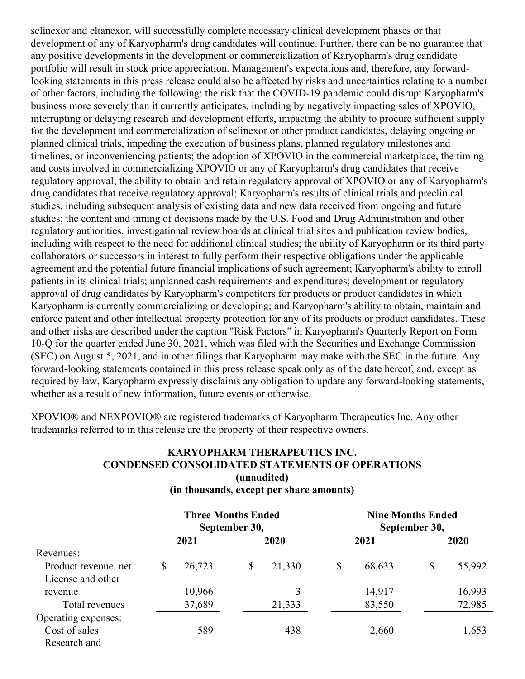selinexor and eltanexor, will successfully complete necessary clinical development phases or that development of any of Karyopharm's drug candidates will continue. Further, there can be no guarantee that any positive developments in the development or commercialization of Karyopharm's drug candidate portfolio will result in stock price appreciation. Management's expectations and, therefore, any forwardlooking statements in this press release could also be affected by risks and uncertainties relating to a number of other factors, including the following: the risk that the COVID-19 pandemic could disrupt Karyopharm's business more severely than it currently anticipates, including by negatively impacting sales of XPOVIO, interrupting or delaying research and development efforts, impacting the ability to procure sufficient supply for the development and commercialization of selinexor or other product candidates, delaying ongoing or planned clinical trials, impeding the execution of business plans, planned regulatory milestones and timelines, or inconveniencing patients; the adoption of XPOVIO in the commercial marketplace, the timing and costs involved in commercializing XPOVIO or any of Karyopharm's drug candidates that receive regulatory approval; the ability to obtain and retain regulatory approval of XPOVIO or any of Karyopharm's drug candidates that receive regulatory approval; Karyopharm's results of clinical trials and preclinical studies, including subsequent analysis of existing data and new data received from ongoing and future studies; the content and timing of decisions made by the U.S. Food and Drug Administration and other regulatory authorities, investigational review boards at clinical trial sites and publication review bodies, including with respect to the need for additional clinical studies; the ability of Karyopharm or its third party collaborators or successors in interest to fully perform their respective obligations under the applicable agreement and the potential future financial implications of such agreement; Karyopharm's ability to enroll patients in its clinical trials; unplanned cash requirements and expenditures; development or regulatory approval of drug candidates by Karyopharm's competitors for products or product candidates in which Karyopharm is currently commercializing or developing; and Karyopharm's ability to obtain, maintain and enforce patent and other intellectual property protection for any of its products or product candidates. These and other risks are described under the caption "Risk Factors" in Karyopharm's Quarterly Report on Form 10-Q for the quarter ended June 30, 2021, which was filed with the Securities and Exchange Commission (SEC) on August 5, 2021, and in other filings that Karyopharm may make with the SEC in the future. Any forward-looking statements contained in this press release speak only as of the date hereof, and, except as required by law, Karyopharm expressly disclaims any obligation to update any forward-looking statements, whether as a result of new information, future events or otherwise.

XPOVIO® and NEXPOVIO® are registered trademarks of Karyopharm Therapeutics Inc. Any other trademarks referred to in this release are the property of their respective owners.

## **KARYOPHARM THERAPEUTICS INC. CONDENSED CONSOLIDATED STATEMENTS OF OPERATIONS (unaudited)**

#### **(in thousands, except per share amounts)**

|                      | <b>Three Months Ended</b><br>September 30, |        |      | <b>Nine Months Ended</b><br>September 30, |      |        |      |        |
|----------------------|--------------------------------------------|--------|------|-------------------------------------------|------|--------|------|--------|
|                      | 2021                                       |        | 2020 |                                           | 2021 |        | 2020 |        |
| Revenues:            |                                            |        |      |                                           |      |        |      |        |
| Product revenue, net | \$                                         | 26,723 | \$   | 21,330                                    | \$   | 68,633 | \$   | 55,992 |
| License and other    |                                            |        |      |                                           |      |        |      |        |
| revenue              |                                            | 10,966 |      |                                           |      | 14,917 |      | 16,993 |
| Total revenues       |                                            | 37,689 |      | 21,333                                    |      | 83,550 |      | 72,985 |
| Operating expenses:  |                                            |        |      |                                           |      |        |      |        |
| Cost of sales        |                                            | 589    |      | 438                                       |      | 2,660  |      | 1,653  |
| Research and         |                                            |        |      |                                           |      |        |      |        |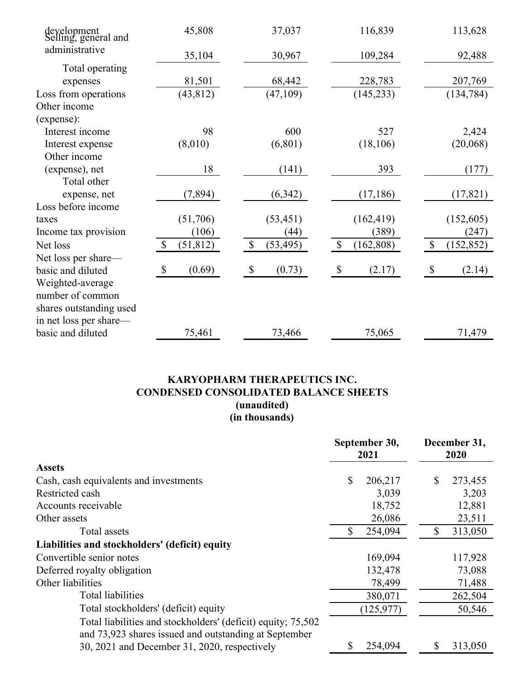| development<br>Selling, general and | 45,808                    | 37,037                    | 116,839                    | 113,628                     |
|-------------------------------------|---------------------------|---------------------------|----------------------------|-----------------------------|
| administrative                      | 35,104                    | 30,967                    | 109,284                    | 92,488                      |
| Total operating                     |                           |                           |                            |                             |
| expenses                            | 81,501                    | 68,442                    | 228,783                    | 207,769                     |
| Loss from operations                | (43, 812)                 | (47,109)                  | (145, 233)                 | (134, 784)                  |
| Other income                        |                           |                           |                            |                             |
| (expense):                          |                           |                           |                            |                             |
| Interest income                     | 98                        | 600                       | 527                        | 2,424                       |
| Interest expense                    | (8,010)                   | (6, 801)                  | (18, 106)                  | (20,068)                    |
| Other income                        |                           |                           |                            |                             |
| (expense), net                      | 18                        | (141)                     | 393                        | (177)                       |
| Total other                         |                           |                           |                            |                             |
| expense, net                        | (7,894)                   | (6,342)                   | (17, 186)                  | (17, 821)                   |
| Loss before income                  |                           |                           |                            |                             |
| taxes                               | (51,706)                  | (53, 451)                 | (162, 419)                 | (152,605)                   |
| Income tax provision                | (106)                     | (44)                      | (389)                      | (247)                       |
| Net loss                            | $\mathbb{S}$<br>(51, 812) | $\mathbb{S}$<br>(53, 495) | $\mathbb{S}$<br>(162, 808) | (152, 852)<br>$\mathcal{S}$ |
| Net loss per share—                 |                           |                           |                            |                             |
| basic and diluted                   | (0.69)<br>$\mathbb{S}$    | (0.73)<br>$\mathbb{S}$    | \$<br>(2.17)               | (2.14)<br>$\mathbb{S}$      |
| Weighted-average                    |                           |                           |                            |                             |
| number of common                    |                           |                           |                            |                             |
| shares outstanding used             |                           |                           |                            |                             |
| in net loss per share—              |                           |                           |                            |                             |
| basic and diluted                   | 75,461                    | 73,466                    | 75,065                     | 71,479                      |

## **KARYOPHARM THERAPEUTICS INC. CONDENSED CONSOLIDATED BALANCE SHEETS (unaudited) (in thousands)**

|                                                                                                                       |    | September 30,<br>2021 |    | December 31,<br>2020 |  |
|-----------------------------------------------------------------------------------------------------------------------|----|-----------------------|----|----------------------|--|
| <b>Assets</b>                                                                                                         |    |                       |    |                      |  |
| Cash, cash equivalents and investments                                                                                | \$ | 206,217               | \$ | 273,455              |  |
| Restricted cash                                                                                                       |    | 3,039                 |    | 3,203                |  |
| Accounts receivable                                                                                                   |    | 18,752                |    | 12,881               |  |
| Other assets                                                                                                          |    | 26,086                |    | 23,511               |  |
| Total assets                                                                                                          | S  | 254,094               | S  | 313,050              |  |
| Liabilities and stockholders' (deficit) equity                                                                        |    |                       |    |                      |  |
| Convertible senior notes                                                                                              |    | 169,094               |    | 117,928              |  |
| Deferred royalty obligation                                                                                           |    | 132,478               |    | 73,088               |  |
| Other liabilities                                                                                                     |    | 78,499                |    | 71,488               |  |
| <b>Total liabilities</b>                                                                                              |    | 380,071               |    | 262,504              |  |
| Total stockholders' (deficit) equity                                                                                  |    | (125, 977)            |    | 50,546               |  |
| Total liabilities and stockholders' (deficit) equity; 75,502<br>and 73,923 shares issued and outstanding at September |    |                       |    |                      |  |
| 30, 2021 and December 31, 2020, respectively                                                                          |    | 254,094               |    | 313,050              |  |
|                                                                                                                       |    |                       |    |                      |  |